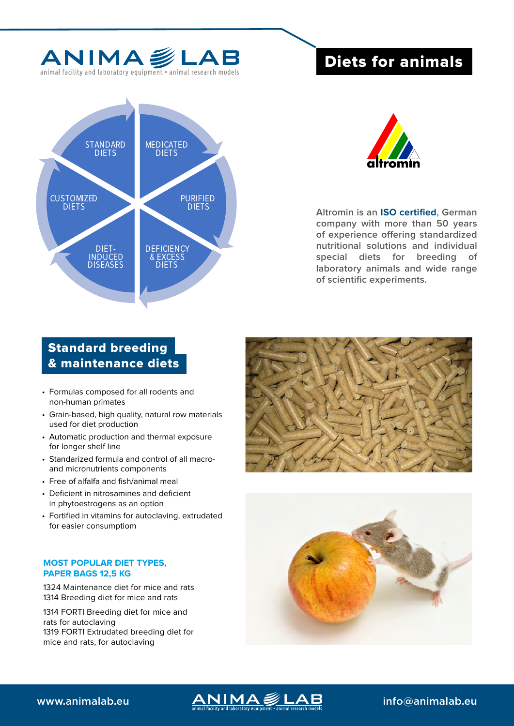

animal facility and laboratory equipment • animal research models

# Diets for animals





**Altromin is an ISO certified, German company with more than 50 years of experience offering standardized nutritional solutions and individual special diets for breeding of laboratory animals and wide range of scientific experiments.**

# Standard breeding & maintenance diets

- Formulas composed for all rodents and non-human primates
- Grain-based, high quality, natural row materials used for diet production
- Automatic production and thermal exposure for longer shelf line
- Standarized formula and control of all macroand micronutrients components
- Free of alfalfa and fish/animal meal
- Deficient in nitrosamines and deficient in phytoestrogens as an option
- Fortified in vitamins for autoclaving, extrudated for easier consumptiom

# **MOST POPULAR DIET TYPES, PAPER BAGS 12,5 KG**

1324 Maintenance diet for mice and rats 1314 Breeding diet for mice and rats

1314 FORTI Breeding diet for mice and rats for autoclaving 1319 FORTI Extrudated breeding diet for mice and rats, for autoclaving